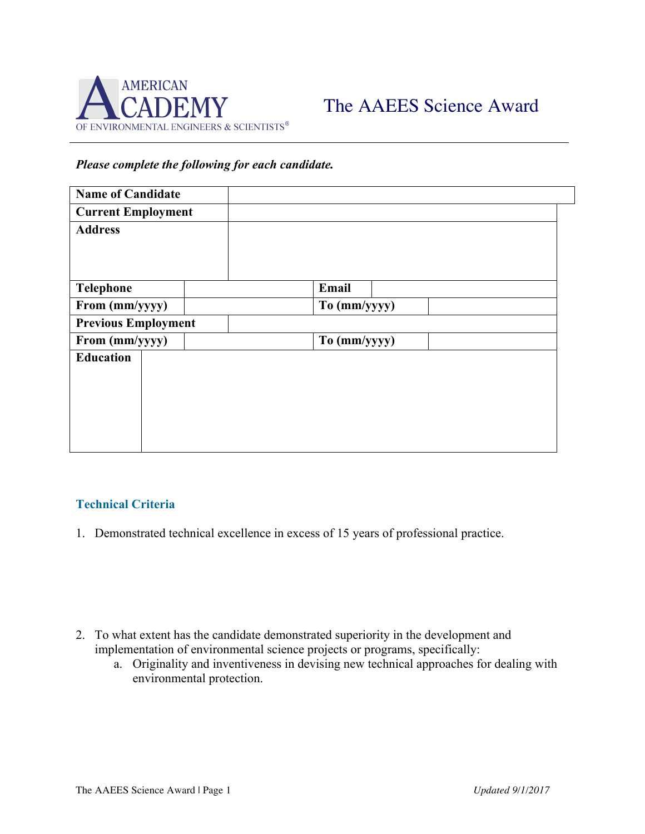

## *Please complete the following for each candidate.*

| <b>Name of Candidate</b>   |  |              |
|----------------------------|--|--------------|
| <b>Current Employment</b>  |  |              |
| <b>Address</b>             |  |              |
|                            |  |              |
|                            |  |              |
| <b>Telephone</b>           |  | Email        |
| From (mm/yyyy)             |  | To (mm/yyyy) |
| <b>Previous Employment</b> |  |              |
| From (mm/yyyy)             |  | To (mm/yyyy) |
| <b>Education</b>           |  |              |
|                            |  |              |
|                            |  |              |
|                            |  |              |
|                            |  |              |
|                            |  |              |

## **Technical Criteria**

1. Demonstrated technical excellence in excess of 15 years of professional practice.

- 2. To what extent has the candidate demonstrated superiority in the development and implementation of environmental science projects or programs, specifically:
	- a. Originality and inventiveness in devising new technical approaches for dealing with environmental protection.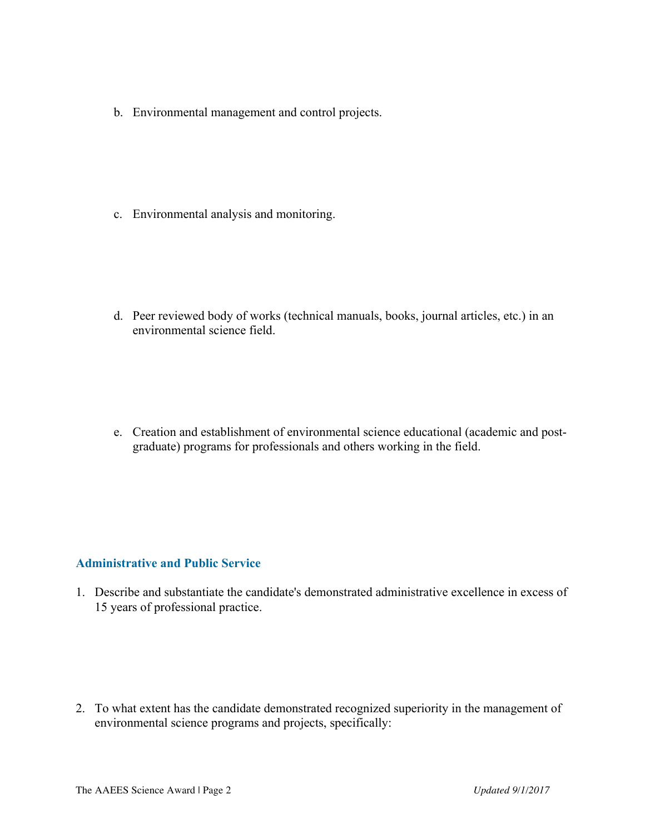b. Environmental management and control projects.

c. Environmental analysis and monitoring.

d. Peer reviewed body of works (technical manuals, books, journal articles, etc.) in an environmental science field.

e. Creation and establishment of environmental science educational (academic and postgraduate) programs for professionals and others working in the field.

## **Administrative and Public Service**

1. Describe and substantiate the candidate's demonstrated administrative excellence in excess of 15 years of professional practice.

2. To what extent has the candidate demonstrated recognized superiority in the management of environmental science programs and projects, specifically: